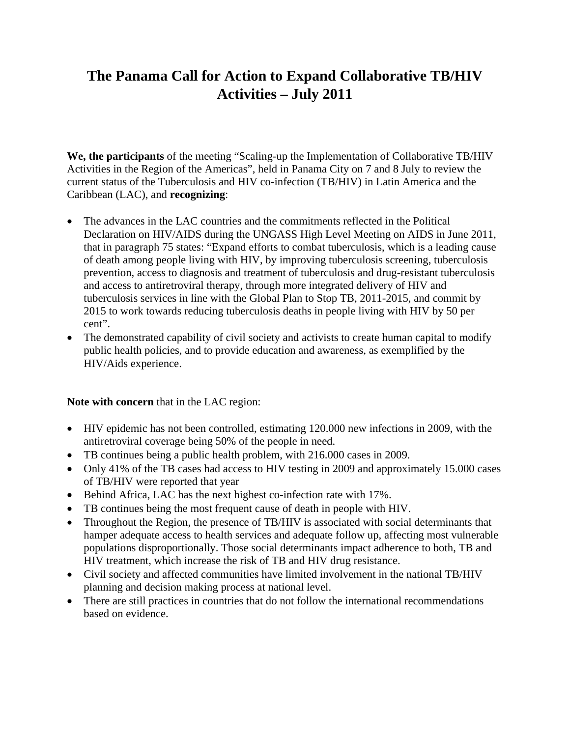## **The Panama Call for Action to Expand Collaborative TB/HIV Activities – July 2011**

**We, the participants** of the meeting "Scaling-up the Implementation of Collaborative TB/HIV Activities in the Region of the Americas", held in Panama City on 7 and 8 July to review the current status of the Tuberculosis and HIV co-infection (TB/HIV) in Latin America and the Caribbean (LAC), and **recognizing**:

- The advances in the LAC countries and the commitments reflected in the Political Declaration on HIV/AIDS during the UNGASS High Level Meeting on AIDS in June 2011, that in paragraph 75 states: "Expand efforts to combat tuberculosis, which is a leading cause of death among people living with HIV, by improving tuberculosis screening, tuberculosis prevention, access to diagnosis and treatment of tuberculosis and drug-resistant tuberculosis and access to antiretroviral therapy, through more integrated delivery of HIV and tuberculosis services in line with the Global Plan to Stop TB, 2011-2015, and commit by 2015 to work towards reducing tuberculosis deaths in people living with HIV by 50 per cent".
- The demonstrated capability of civil society and activists to create human capital to modify public health policies, and to provide education and awareness, as exemplified by the HIV/Aids experience.

## **Note with concern** that in the LAC region:

- HIV epidemic has not been controlled, estimating 120.000 new infections in 2009, with the antiretroviral coverage being 50% of the people in need.
- TB continues being a public health problem, with 216.000 cases in 2009.
- Only 41% of the TB cases had access to HIV testing in 2009 and approximately 15.000 cases of TB/HIV were reported that year
- Behind Africa, LAC has the next highest co-infection rate with 17%.
- TB continues being the most frequent cause of death in people with HIV.
- Throughout the Region, the presence of TB/HIV is associated with social determinants that hamper adequate access to health services and adequate follow up, affecting most vulnerable populations disproportionally. Those social determinants impact adherence to both, TB and HIV treatment, which increase the risk of TB and HIV drug resistance.
- Civil society and affected communities have limited involvement in the national TB/HIV planning and decision making process at national level.
- There are still practices in countries that do not follow the international recommendations based on evidence.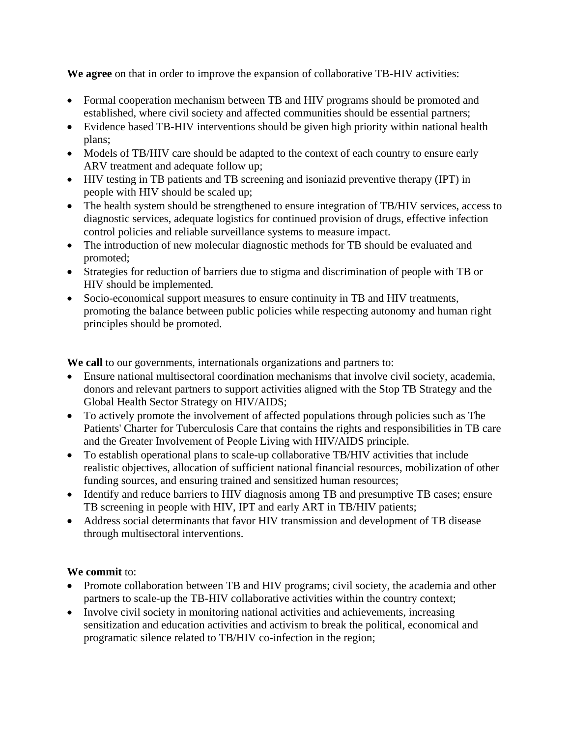**We agree** on that in order to improve the expansion of collaborative TB-HIV activities:

- Formal cooperation mechanism between TB and HIV programs should be promoted and established, where civil society and affected communities should be essential partners;
- Evidence based TB-HIV interventions should be given high priority within national health plans;
- Models of TB/HIV care should be adapted to the context of each country to ensure early ARV treatment and adequate follow up;
- HIV testing in TB patients and TB screening and isoniazid preventive therapy (IPT) in people with HIV should be scaled up;
- The health system should be strengthened to ensure integration of TB/HIV services, access to diagnostic services, adequate logistics for continued provision of drugs, effective infection control policies and reliable surveillance systems to measure impact.
- The introduction of new molecular diagnostic methods for TB should be evaluated and promoted;
- Strategies for reduction of barriers due to stigma and discrimination of people with TB or HIV should be implemented.
- Socio-economical support measures to ensure continuity in TB and HIV treatments, promoting the balance between public policies while respecting autonomy and human right principles should be promoted.

**We call** to our governments, internationals organizations and partners to:

- Ensure national multisectoral coordination mechanisms that involve civil society, academia, donors and relevant partners to support activities aligned with the Stop TB Strategy and the Global Health Sector Strategy on HIV/AIDS;
- To actively promote the involvement of affected populations through policies such as The Patients' Charter for Tuberculosis Care that contains the rights and responsibilities in TB care and the Greater Involvement of People Living with HIV/AIDS principle.
- To establish operational plans to scale-up collaborative TB/HIV activities that include realistic objectives, allocation of sufficient national financial resources, mobilization of other funding sources, and ensuring trained and sensitized human resources;
- Identify and reduce barriers to HIV diagnosis among TB and presumptive TB cases; ensure TB screening in people with HIV, IPT and early ART in TB/HIV patients;
- Address social determinants that favor HIV transmission and development of TB disease through multisectoral interventions.

## **We commit** to:

- Promote collaboration between TB and HIV programs; civil society, the academia and other partners to scale-up the TB-HIV collaborative activities within the country context;
- Involve civil society in monitoring national activities and achievements, increasing sensitization and education activities and activism to break the political, economical and programatic silence related to TB/HIV co-infection in the region;